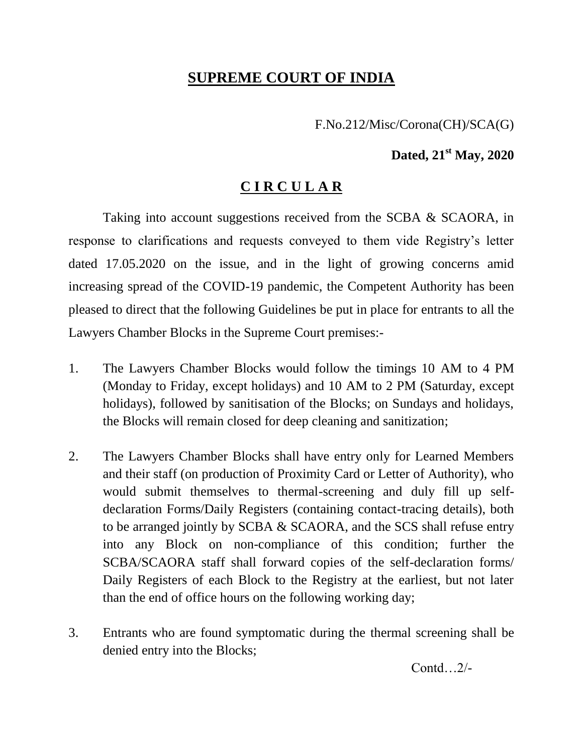## **SUPREME COURT OF INDIA**

F.No.212/Misc/Corona(CH)/SCA(G)

## **Dated, 21 st May, 2020**

## **C I R C U L A R**

Taking into account suggestions received from the SCBA & SCAORA, in response to clarifications and requests conveyed to them vide Registry's letter dated 17.05.2020 on the issue, and in the light of growing concerns amid increasing spread of the COVID-19 pandemic, the Competent Authority has been pleased to direct that the following Guidelines be put in place for entrants to all the Lawyers Chamber Blocks in the Supreme Court premises:-

- 1. The Lawyers Chamber Blocks would follow the timings 10 AM to 4 PM (Monday to Friday, except holidays) and 10 AM to 2 PM (Saturday, except holidays), followed by sanitisation of the Blocks; on Sundays and holidays, the Blocks will remain closed for deep cleaning and sanitization;
- 2. The Lawyers Chamber Blocks shall have entry only for Learned Members and their staff (on production of Proximity Card or Letter of Authority), who would submit themselves to thermal-screening and duly fill up selfdeclaration Forms/Daily Registers (containing contact-tracing details), both to be arranged jointly by SCBA & SCAORA, and the SCS shall refuse entry into any Block on non-compliance of this condition; further the SCBA/SCAORA staff shall forward copies of the self-declaration forms/ Daily Registers of each Block to the Registry at the earliest, but not later than the end of office hours on the following working day;
- 3. Entrants who are found symptomatic during the thermal screening shall be denied entry into the Blocks;

Contd…2/-